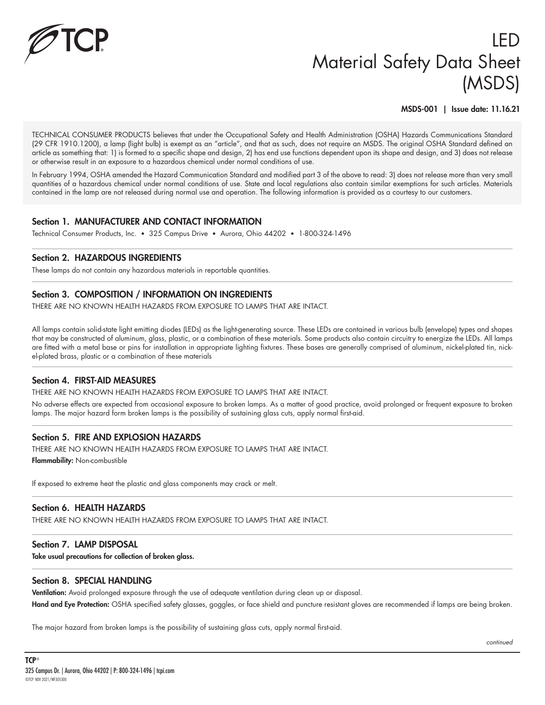

# LED Material Safety Data Sheet (MSDS)

MSDS-001 | Issue date: 11.16.21

TECHNICAL CONSUMER PRODUCTS believes that under the Occupational Safety and Health Administration (OSHA) Hazards Communications Standard (29 CFR 1910.1200), a lamp (light bulb) is exempt as an "article", and that as such, does not require an MSDS. The original OSHA Standard defined an article as something that: 1) is formed to a specific shape and design, 2) has end use functions dependent upon its shape and design, and 3) does not release or otherwise result in an exposure to a hazardous chemical under normal conditions of use.

In February 1994, OSHA amended the Hazard Communication Standard and modified part 3 of the above to read: 3) does not release more than very small quantities of a hazardous chemical under normal conditions of use. State and local regulations also contain similar exemptions for such articles. Materials contained in the lamp are not released during normal use and operation. The following information is provided as a courtesy to our customers.

#### Section 1. MANUFACTURER AND CONTACT INFORMATION

Technical Consumer Products, Inc. • 325 Campus Drive • Aurora, Ohio 44202 • 1-800-324-1496

#### Section 2. HAZARDOUS INGREDIENTS

These lamps do not contain any hazardous materials in reportable quantities.

## Section 3. COMPOSITION / INFORMATION ON INGREDIENTS

THERE ARE NO KNOWN HEALTH HAZARDS FROM EXPOSURE TO LAMPS THAT ARE INTACT.

All lamps contain solid-state light emitting diodes (LEDs) as the light-generating source. These LEDs are contained in various bulb (envelope) types and shapes that may be constructed of aluminum, glass, plastic, or a combination of these materials. Some products also contain circuitry to energize the LEDs. All lamps are fitted with a metal base or pins for installation in appropriate lighting fixtures. These bases are generally comprised of aluminum, nickel-plated tin, nickel-plated brass, plastic or a combination of these materials

#### Section 4. FIRST-AID MEASURES

THERE ARE NO KNOWN HEALTH HAZARDS FROM EXPOSURE TO LAMPS THAT ARE INTACT.

No adverse effects are expected from occasional exposure to broken lamps. As a matter of good practice, avoid prolonged or frequent exposure to broken lamps. The major hazard form broken lamps is the possibility of sustaining glass cuts, apply normal first-aid.

## Section 5. FIRE AND EXPLOSION HAZARDS

THERE ARE NO KNOWN HEALTH HAZARDS FROM EXPOSURE TO LAMPS THAT ARE INTACT. Flammability: Non-combustible

If exposed to extreme heat the plastic and glass components may crack or melt.

#### Section 6. HEALTH HAZARDS

THERE ARE NO KNOWN HEALTH HAZARDS FROM EXPOSURE TO LAMPS THAT ARE INTACT.

#### Section 7. LAMP DISPOSAL

Take usual precautions for collection of broken glass.

#### Section 8. SPECIAL HANDLING

Ventilation: Avoid prolonged exposure through the use of adequate ventilation during clean up or disposal. Hand and Eye Protection: OSHA specified safety glasses, goggles, or face shield and puncture resistant gloves are recommended if lamps are being broken.

The major hazard from broken lamps is the possibility of sustaining glass cuts, apply normal first-aid.

*continued*